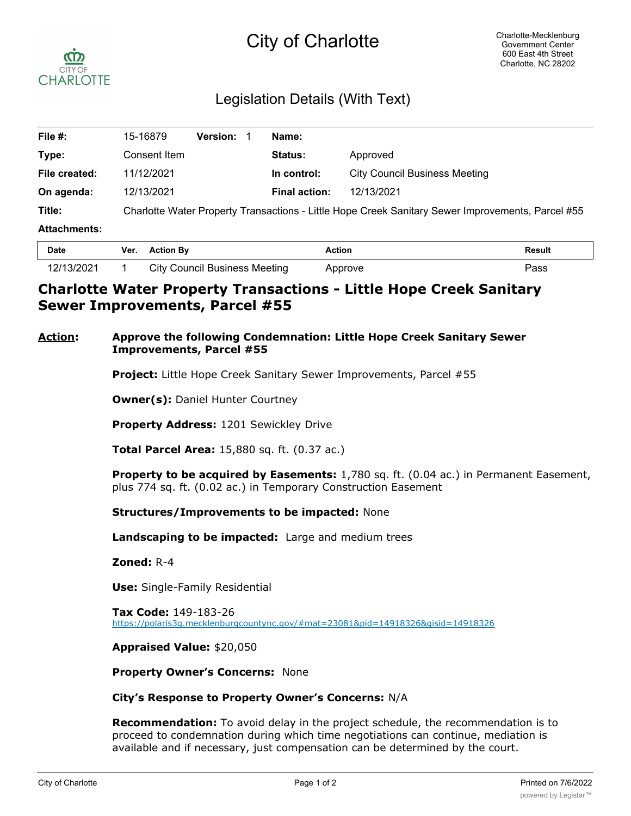# City of Charlotte



## Legislation Details (With Text)

| File #:             | 15-16879                                                                                          | <b>Version:</b> | Name:                |                                      |  |  |
|---------------------|---------------------------------------------------------------------------------------------------|-----------------|----------------------|--------------------------------------|--|--|
| Type:               | Consent Item                                                                                      |                 | <b>Status:</b>       | Approved                             |  |  |
| File created:       | 11/12/2021                                                                                        |                 | In control:          | <b>City Council Business Meeting</b> |  |  |
| On agenda:          | 12/13/2021                                                                                        |                 | <b>Final action:</b> | 12/13/2021                           |  |  |
| Title:              | Charlotte Water Property Transactions - Little Hope Creek Sanitary Sewer Improvements, Parcel #55 |                 |                      |                                      |  |  |
| <b>Attachments:</b> |                                                                                                   |                 |                      |                                      |  |  |
| - -                 | $\mathbf{r}$ and $\mathbf{r}$                                                                     |                 |                      | .<br>- "                             |  |  |

| <b>Date</b> | Ver. | <b>Action By</b>              | Action  | Result |
|-------------|------|-------------------------------|---------|--------|
| 12/13/2021  |      | City Council Business Meeting | Approve | ass'   |

### **Charlotte Water Property Transactions - Little Hope Creek Sanitary Sewer Improvements, Parcel #55**

#### **Action: Approve the following Condemnation: Little Hope Creek Sanitary Sewer Improvements, Parcel #55**

**Project:** Little Hope Creek Sanitary Sewer Improvements, Parcel #55

**Owner(s):** Daniel Hunter Courtney

**Property Address:** 1201 Sewickley Drive

**Total Parcel Area:** 15,880 sq. ft. (0.37 ac.)

**Property to be acquired by Easements:** 1,780 sq. ft. (0.04 ac.) in Permanent Easement, plus 774 sq. ft. (0.02 ac.) in Temporary Construction Easement

**Structures/Improvements to be impacted:** None

**Landscaping to be impacted:** Large and medium trees

**Zoned:** R-4

**Use:** Single-Family Residential

**Tax Code:** 149-183-26 https://polaris3g.mecklenburgcountync.gov/#mat=23081&pid=14918326&gisid=14918326

**Appraised Value:** \$20,050

**Property Owner's Concerns:** None

**City's Response to Property Owner's Concerns:** N/A

**Recommendation:** To avoid delay in the project schedule, the recommendation is to proceed to condemnation during which time negotiations can continue, mediation is available and if necessary, just compensation can be determined by the court.